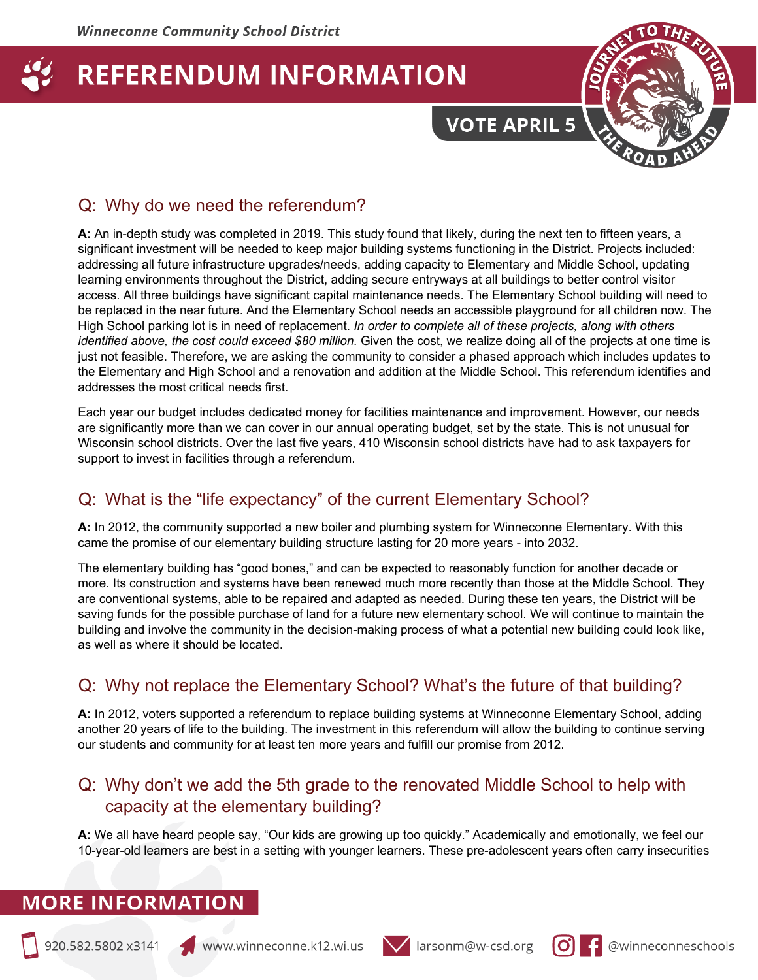# **VOTE APRIL 5**



# Q: Why do we need the referendum?

**A:** An in-depth study was completed in 2019. This study found that likely, during the next ten to fifteen years, a significant investment will be needed to keep major building systems functioning in the District. Projects included: addressing all future infrastructure upgrades/needs, adding capacity to Elementary and Middle School, updating learning environments throughout the District, adding secure entryways at all buildings to better control visitor access. All three buildings have significant capital maintenance needs. The Elementary School building will need to be replaced in the near future. And the Elementary School needs an accessible playground for all children now. The High School parking lot is in need of replacement. *In order to complete all of these projects, along with others identified above, the cost could exceed \$80 million.* Given the cost, we realize doing all of the projects at one time is just not feasible. Therefore, we are asking the community to consider a phased approach which includes updates to the Elementary and High School and a renovation and addition at the Middle School. This referendum identifies and addresses the most critical needs first.

Each year our budget includes dedicated money for facilities maintenance and improvement. However, our needs are significantly more than we can cover in our annual operating budget, set by the state. This is not unusual for Wisconsin school districts. Over the last five years, 410 Wisconsin school districts have had to ask taxpayers for support to invest in facilities through a referendum.

# Q: What is the "life expectancy" of the current Elementary School?

**A:** In 2012, the community supported a new boiler and plumbing system for Winneconne Elementary. With this came the promise of our elementary building structure lasting for 20 more years - into 2032.

The elementary building has "good bones," and can be expected to reasonably function for another decade or more. Its construction and systems have been renewed much more recently than those at the Middle School. They are conventional systems, able to be repaired and adapted as needed. During these ten years, the District will be saving funds for the possible purchase of land for a future new elementary school. We will continue to maintain the building and involve the community in the decision-making process of what a potential new building could look like, as well as where it should be located.

# Q: Why not replace the Elementary School? What's the future of that building?

**A:** In 2012, voters supported a referendum to replace building systems at Winneconne Elementary School, adding another 20 years of life to the building. The investment in this referendum will allow the building to continue serving our students and community for at least ten more years and fulfill our promise from 2012.

# Q: Why don't we add the 5th grade to the renovated Middle School to help with capacity at the elementary building?

**A:** We all have heard people say, "Our kids are growing up too quickly." Academically and emotionally, we feel our 10-year-old learners are best in a setting with younger learners. These pre-adolescent years often carry insecurities





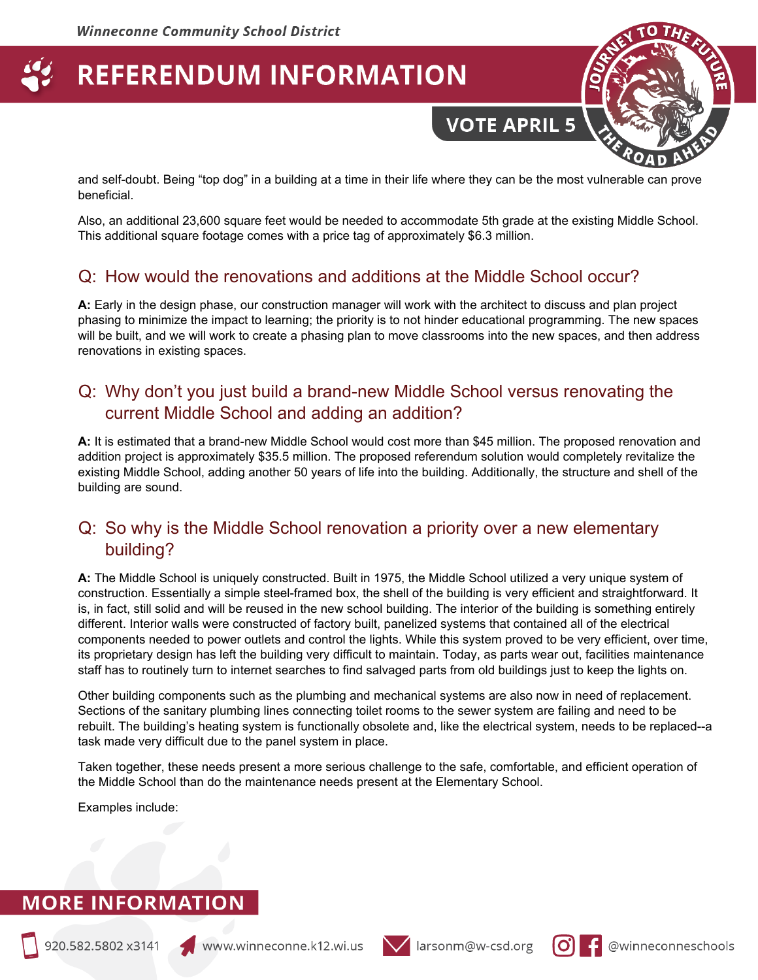and self-doubt. Being "top dog" in a building at a time in their life where they can be the most vulnerable can prove beneficial.

**VOTE APRIL 5** 

Also, an additional 23,600 square feet would be needed to accommodate 5th grade at the existing Middle School. This additional square footage comes with a price tag of approximately \$6.3 million.

#### Q: How would the renovations and additions at the Middle School occur?

**A:** Early in the design phase, our construction manager will work with the architect to discuss and plan project phasing to minimize the impact to learning; the priority is to not hinder educational programming. The new spaces will be built, and we will work to create a phasing plan to move classrooms into the new spaces, and then address renovations in existing spaces.

## Q: Why don't you just build a brand-new Middle School versus renovating the current Middle School and adding an addition?

**A:** It is estimated that a brand-new Middle School would cost more than \$45 million. The proposed renovation and addition project is approximately \$35.5 million. The proposed referendum solution would completely revitalize the existing Middle School, adding another 50 years of life into the building. Additionally, the structure and shell of the building are sound.

#### Q: So why is the Middle School renovation a priority over a new elementary building?

**A:** The Middle School is uniquely constructed. Built in 1975, the Middle School utilized a very unique system of construction. Essentially a simple steel-framed box, the shell of the building is very efficient and straightforward. It is, in fact, still solid and will be reused in the new school building. The interior of the building is something entirely different. Interior walls were constructed of factory built, panelized systems that contained all of the electrical components needed to power outlets and control the lights. While this system proved to be very efficient, over time, its proprietary design has left the building very difficult to maintain. Today, as parts wear out, facilities maintenance staff has to routinely turn to internet searches to find salvaged parts from old buildings just to keep the lights on.

Other building components such as the plumbing and mechanical systems are also now in need of replacement. Sections of the sanitary plumbing lines connecting toilet rooms to the sewer system are failing and need to be rebuilt. The building's heating system is functionally obsolete and, like the electrical system, needs to be replaced--a task made very difficult due to the panel system in place.

Taken together, these needs present a more serious challenge to the safe, comfortable, and efficient operation of the Middle School than do the maintenance needs present at the Elementary School.

Examples include:



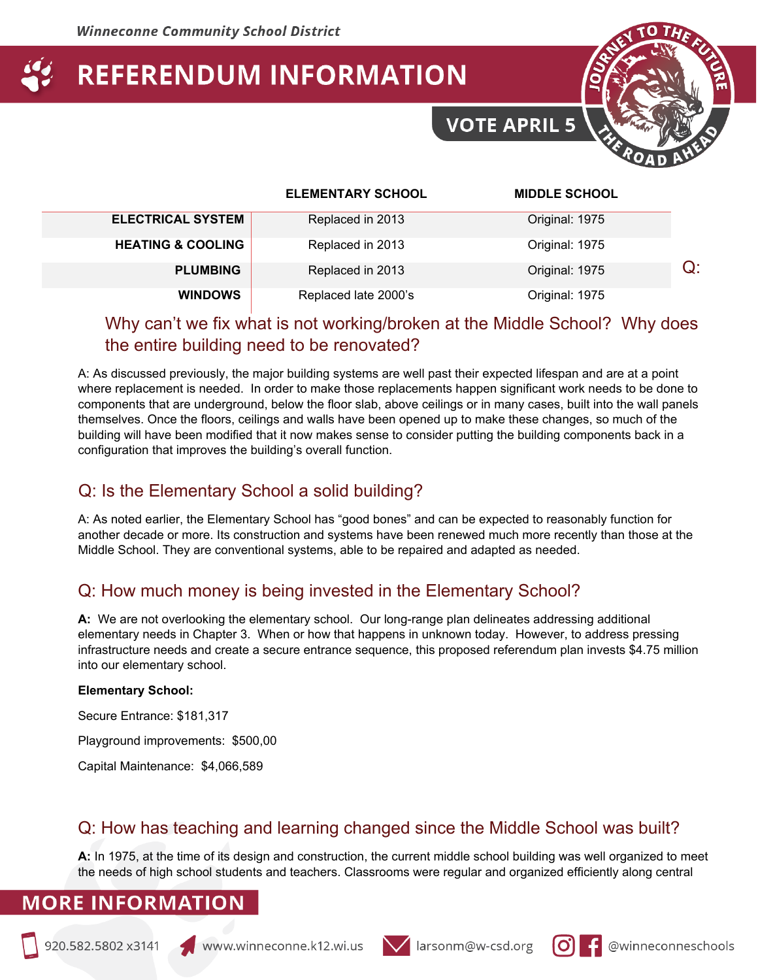

|                              | <b>ELEMENTARY SCHOOL</b> | <b>MIDDLE SCHOOL</b> |
|------------------------------|--------------------------|----------------------|
| <b>ELECTRICAL SYSTEM</b>     | Replaced in 2013         | Original: 1975       |
| <b>HEATING &amp; COOLING</b> | Replaced in 2013         | Original: 1975       |
| <b>PLUMBING</b>              | Replaced in 2013         | Original: 1975       |
| <b>WINDOWS</b>               | Replaced late 2000's     | Original: 1975       |

## Why can't we fix what is not working/broken at the Middle School? Why does the entire building need to be renovated?

A: As discussed previously, the major building systems are well past their expected lifespan and are at a point where replacement is needed. In order to make those replacements happen significant work needs to be done to components that are underground, below the floor slab, above ceilings or in many cases, built into the wall panels themselves. Once the floors, ceilings and walls have been opened up to make these changes, so much of the building will have been modified that it now makes sense to consider putting the building components back in a configuration that improves the building's overall function.

# Q: Is the Elementary School a solid building?

A: As noted earlier, the Elementary School has "good bones" and can be expected to reasonably function for another decade or more. Its construction and systems have been renewed much more recently than those at the Middle School. They are conventional systems, able to be repaired and adapted as needed.

# Q: How much money is being invested in the Elementary School?

**A:** We are not overlooking the elementary school. Our long-range plan delineates addressing additional elementary needs in Chapter 3. When or how that happens in unknown today. However, to address pressing infrastructure needs and create a secure entrance sequence, this proposed referendum plan invests \$4.75 million into our elementary school.

#### **Elementary School:**

Secure Entrance: \$181,317

Playground improvements: \$500,00

Capital Maintenance: \$4,066,589

# Q: How has teaching and learning changed since the Middle School was built?

**A:** In 1975, at the time of its design and construction, the current middle school building was well organized to meet the needs of high school students and teachers. Classrooms were regular and organized efficiently along central





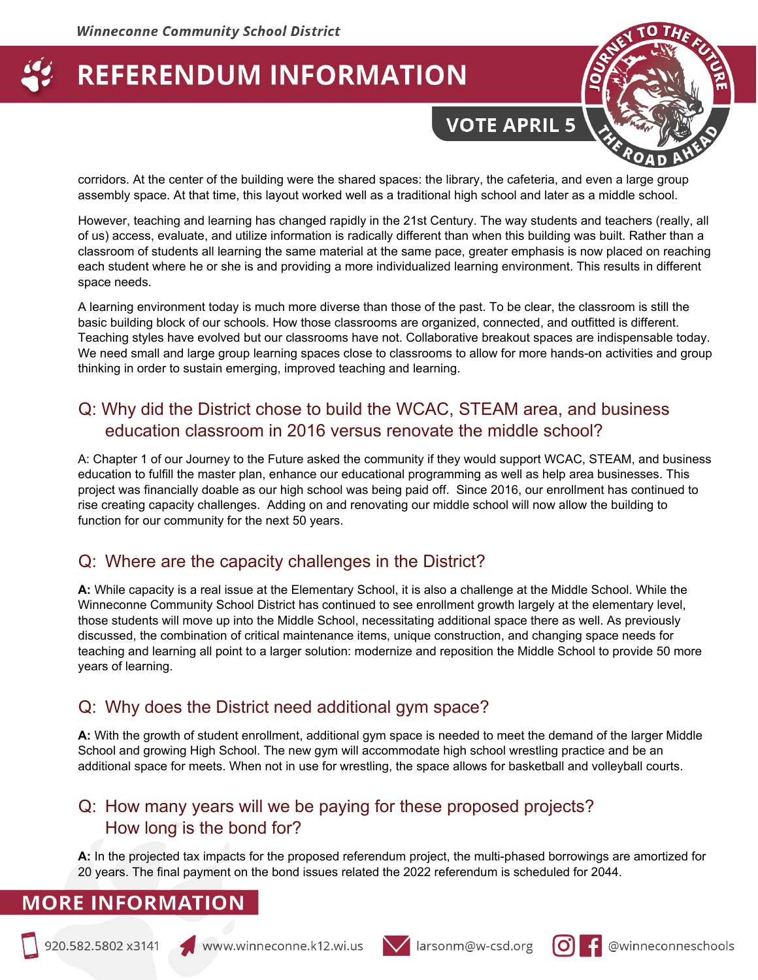**VOTE APRIL 5** 



corridors. At the center of the building were the shared spaces: the library, the cafeteria, and even a large group assembly space. At that time, this layout worked well as a traditional high school and later as a middle school.

However, teaching and learning has changed rapidly in the 21st Century. The way students and teachers (really, all of us) access, evaluate, and utilize information is radically different than when this building was built. Rather than a classroom of students all learning the same material at the same pace, greater emphasis is now placed on reaching each student where he or she is and providing a more individualized learning environment. This results in different space needs.

A learning environment today is much more diverse than those of the past. To be clear, the classroom is still the basic building block of our schools. How those classrooms are organized, connected, and outfitted is different. Teaching styles have evolved but our classrooms have not. Collaborative breakout spaces are indispensable today. We need small and large group learning spaces close to classrooms to allow for more hands-on activities and group thinking in order to sustain emerging, improved teaching and learning.

## Q: Why did the District chose to build the WCAC, STEAM area, and business education classroom in 2016 versus renovate the middle school?

A: Chapter 1 of our Journey to the Future asked the community if they would support WCAC, STEAM, and business education to fulfill the master plan, enhance our educational programming as well as help area businesses. This project was financially doable as our high school was being paid off. Since 2016, our enrollment has continued to rise creating capacity challenges. Adding on and renovating our middle school will now allow the building to function for our community for the next 50 years.

#### Q: Where are the capacity challenges in the District?

**A:** While capacity is a real issue at the Elementary School, it is also a challenge at the Middle School. While the Winneconne Community School District has continued to see enrollment growth largely at the elementary level, those students will move up into the Middle School, necessitating additional space there as well. As previously discussed, the combination of critical maintenance items, unique construction, and changing space needs for teaching and learning all point to a larger solution: modernize and reposition the Middle School to provide 50 more years of learning.

#### Q: Why does the District need additional gym space?

**A:** With the growth of student enrollment, additional gym space is needed to meet the demand of the larger Middle School and growing High School. The new gym will accommodate high school wrestling practice and be an additional space for meets. When not in use for wrestling, the space allows for basketball and volleyball courts.

#### Q: How many years will we be paying for these proposed projects? How long is the bond for?

**A:** In the projected tax impacts for the proposed referendum project, the multi-phased borrowings are amortized for 20 years. The final payment on the bond issues related the 2022 referendum is scheduled for 2044.





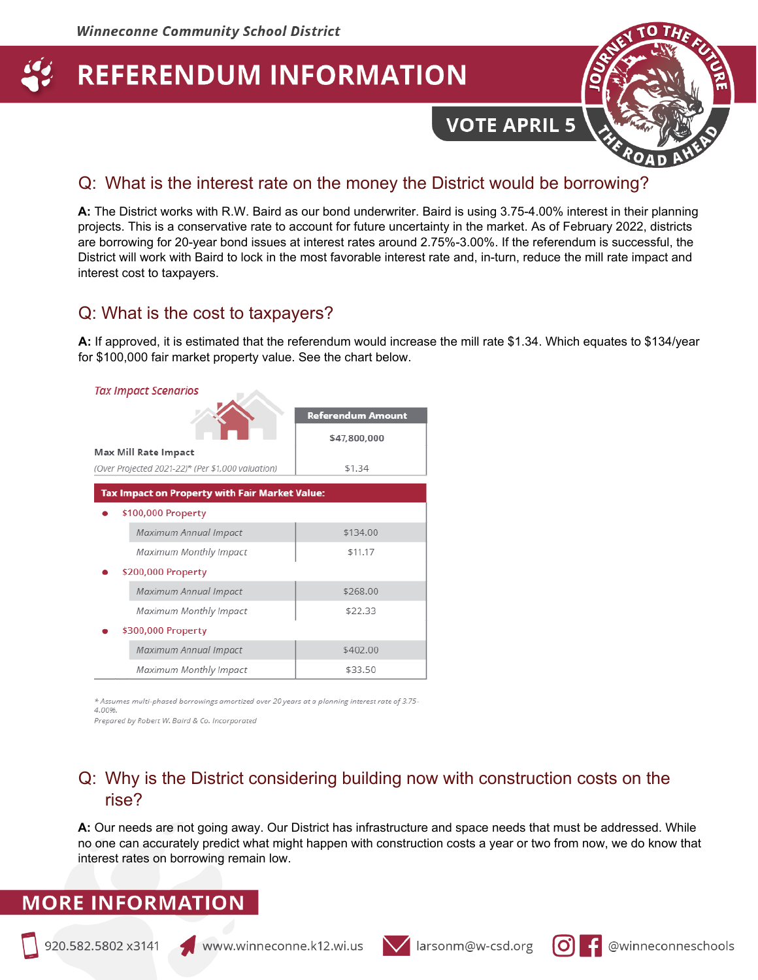**VOTE APRIL 5** 



#### Q: What is the interest rate on the money the District would be borrowing?

**A:** The District works with R.W. Baird as our bond underwriter. Baird is using 3.75-4.00% interest in their planning projects. This is a conservative rate to account for future uncertainty in the market. As of February 2022, districts are borrowing for 20-year bond issues at interest rates around 2.75%-3.00%. If the referendum is successful, the District will work with Baird to lock in the most favorable interest rate and, in-turn, reduce the mill rate impact and interest cost to taxpayers.

#### Q: What is the cost to taxpayers?

**A:** If approved, it is estimated that the referendum would increase the mill rate \$1.34. Which equates to \$134/year for \$100,000 fair market property value. See the chart below.

| <b>Tax Impact Scenarios</b>                       |                          |  |  |  |
|---------------------------------------------------|--------------------------|--|--|--|
|                                                   | <b>Referendum Amount</b> |  |  |  |
|                                                   | \$47,800,000             |  |  |  |
| <b>Max Mill Rate Impact</b>                       |                          |  |  |  |
| (Over Projected 2021-22)* (Per \$1,000 valuation) | \$1.34                   |  |  |  |
| Tax Impact on Property with Fair Market Value:    |                          |  |  |  |
| \$100,000 Property                                |                          |  |  |  |
| Maximum Annual Impact                             | \$134.00                 |  |  |  |
| Maximum Monthly Impact                            | \$11.17                  |  |  |  |
| \$200,000 Property                                |                          |  |  |  |
| Maximum Annual Impact                             | \$268.00                 |  |  |  |
| Maximum Monthly Impact                            | \$22.33                  |  |  |  |
| \$300,000 Property                                |                          |  |  |  |
| Maximum Annual Impact                             | \$402.00                 |  |  |  |
| Maximum Monthly Impact                            | \$33.50                  |  |  |  |

\* Assumes multi-phased borrowings amortized over 20 years at a planning interest rate of 3.75-

4.00%. Prepared by Robert W. Baird & Co. Incorporated

#### Q: Why is the District considering building now with construction costs on the rise?

**A:** Our needs are not going away. Our District has infrastructure and space needs that must be addressed. While no one can accurately predict what might happen with construction costs a year or two from now, we do know that interest rates on borrowing remain low.





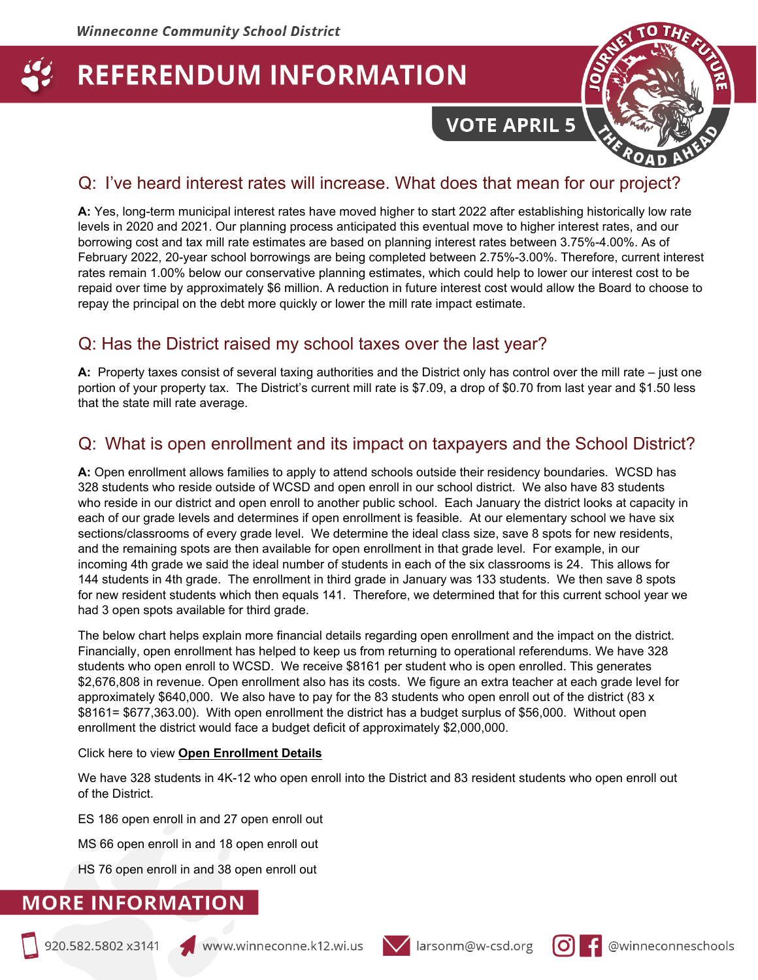# **VOTE APRIL 5**



## Q: I've heard interest rates will increase. What does that mean for our project?

**A:** Yes, long-term municipal interest rates have moved higher to start 2022 after establishing historically low rate levels in 2020 and 2021. Our planning process anticipated this eventual move to higher interest rates, and our borrowing cost and tax mill rate estimates are based on planning interest rates between 3.75%-4.00%. As of February 2022, 20-year school borrowings are being completed between 2.75%-3.00%. Therefore, current interest rates remain 1.00% below our conservative planning estimates, which could help to lower our interest cost to be repaid over time by approximately \$6 million. A reduction in future interest cost would allow the Board to choose to repay the principal on the debt more quickly or lower the mill rate impact estimate.

# Q: Has the District raised my school taxes over the last year?

**A:** Property taxes consist of several taxing authorities and the District only has control over the mill rate – just one portion of your property tax. The District's current mill rate is \$7.09, a drop of \$0.70 from last year and \$1.50 less that the state mill rate average.

# Q: What is open enrollment and its impact on taxpayers and the School District?

**A:** Open enrollment allows families to apply to attend schools outside their residency boundaries. WCSD has 328 students who reside outside of WCSD and open enroll in our school district. We also have 83 students who reside in our district and open enroll to another public school. Each January the district looks at capacity in each of our grade levels and determines if open enrollment is feasible. At our elementary school we have six sections/classrooms of every grade level. We determine the ideal class size, save 8 spots for new residents, and the remaining spots are then available for open enrollment in that grade level. For example, in our incoming 4th grade we said the ideal number of students in each of the six classrooms is 24. This allows for 144 students in 4th grade. The enrollment in third grade in January was 133 students. We then save 8 spots for new resident students which then equals 141. Therefore, we determined that for this current school year we had 3 open spots available for third grade.

The below chart helps explain more financial details regarding open enrollment and the impact on the district. Financially, open enrollment has helped to keep us from returning to operational referendums. We have 328 students who open enroll to WCSD. We receive \$8161 per student who is open enrolled. This generates \$2,676,808 in revenue. Open enrollment also has its costs. We figure an extra teacher at each grade level for approximately \$640,000. We also have to pay for the 83 students who open enroll out of the district (83 x \$8161= \$677,363.00). With open enrollment the district has a budget surplus of \$56,000. Without open enrollment the district would face a budget deficit of approximately \$2,000,000.

#### Click here to view **[Open Enrollment Details](https://docs.google.com/spreadsheets/d/1U6vzFpzgYXZA420QafPBYz-Gc2OIpSWsO5368VBcfGc/edit?usp=sharing)**

We have 328 students in 4K-12 who open enroll into the District and 83 resident students who open enroll out of the District.

ES 186 open enroll in and 27 open enroll out

MS 66 open enroll in and 18 open enroll out

HS 76 open enroll in and 38 open enroll out